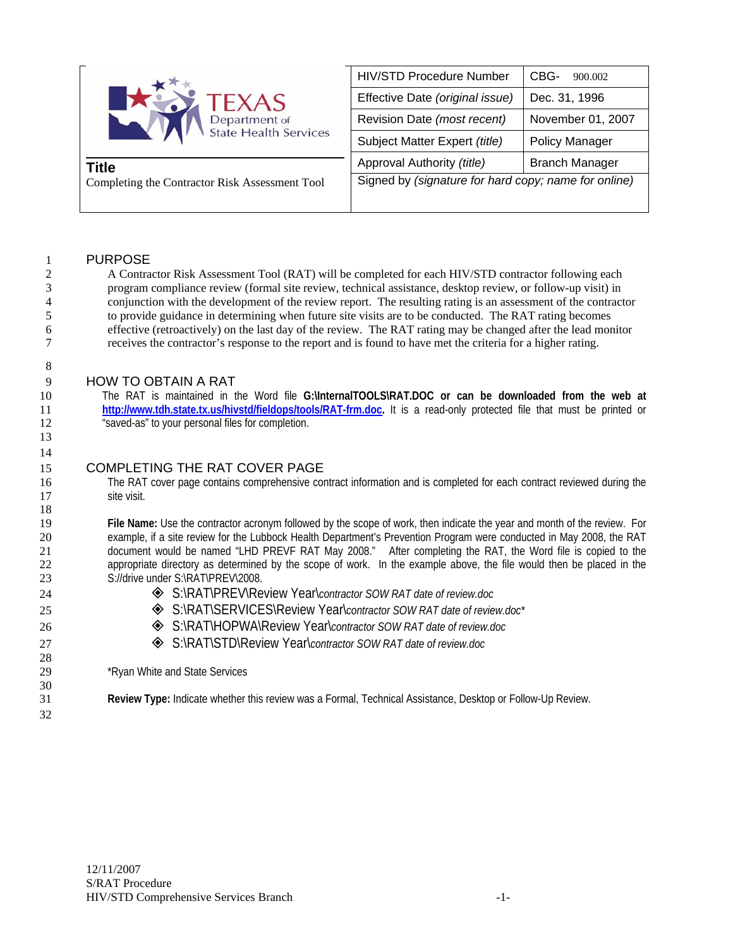| <b>CONTEXAS</b><br>Department of<br><b>State Health Services</b><br>Title<br>Completing the Contractor Risk Assessment Tool | <b>HIV/STD Procedure Number</b>                      | CBG-<br>900.002       |
|-----------------------------------------------------------------------------------------------------------------------------|------------------------------------------------------|-----------------------|
|                                                                                                                             | Effective Date (original issue)                      | Dec. 31, 1996         |
|                                                                                                                             | Revision Date (most recent)                          | November 01, 2007     |
|                                                                                                                             | Subject Matter Expert (title)                        | <b>Policy Manager</b> |
|                                                                                                                             | Approval Authority (title)                           | <b>Branch Manager</b> |
|                                                                                                                             | Signed by (signature for hard copy; name for online) |                       |
|                                                                                                                             |                                                      |                       |

# 1 PURPOSE

8

13 14

18

28

30

32

2 A Contractor Risk Assessment Tool (RAT) will be completed for each HIV/STD contractor following each 3 program compliance review (formal site review, technical assistance, desktop review, or follow-up visit) in 4 conjunction with the development of the review report. The resulting rating is an assessment of the contractor<br>5 to provide guidance in determining when future site visits are to be conducted. The RAT rating becomes to provide guidance in determining when future site visits are to be conducted. The RAT rating becomes 6 effective (retroactively) on the last day of the review. The RAT rating may be changed after the lead monitor 7 receives the contractor's response to the report and is found to have met the criteria for a higher rating.

# 9 HOW TO OBTAIN A RAT

10 The RAT is maintained in the Word file **G:\InternalTOOLS\RAT.DOC or can be downloaded from the web at**  11 **http://www.tdh.state.tx.us/hivstd/fieldops/tools/RAT-frm.doc.** It is a read-only protected file that must be printed or 12 "saved-as" to your personal files for completion.

# 15 COMPLETING THE RAT COVER PAGE

16 The RAT cover page contains comprehensive contract information and is completed for each contract reviewed during the 17 site visit.

**File Name:** Use the contractor acronym followed by the scope of work, then indicate the year and month of the review. For example, if a site review for the Lubbock Health Department's Prevention Program were conducted in May 2008, the RAT document would be named "LHD PREVF RAT May 2008." After completing the RAT, the Word file is copied to the appropriate directory as determined by the scope of work. In the example above, the file would then be placed in the 23 S://drive under S:\RAT\PREV\2008.

- 24 S:\RAT\PREV\Review Year\*contractor SOW RAT date of review.doc*
- 25 **S:\RAT\SERVICES\Review Year\**contractor SOW RAT date of review.doc\*
- 26 S:\RAT\HOPWA\Review Year\*contractor SOW RAT date of review.doc*
- 27 **S:\RAT\STD\Review Year\***contractor SOW RAT date of review.doc*

29 \*Ryan White and State Services

31 **Review Type:** Indicate whether this review was a Formal, Technical Assistance, Desktop or Follow-Up Review.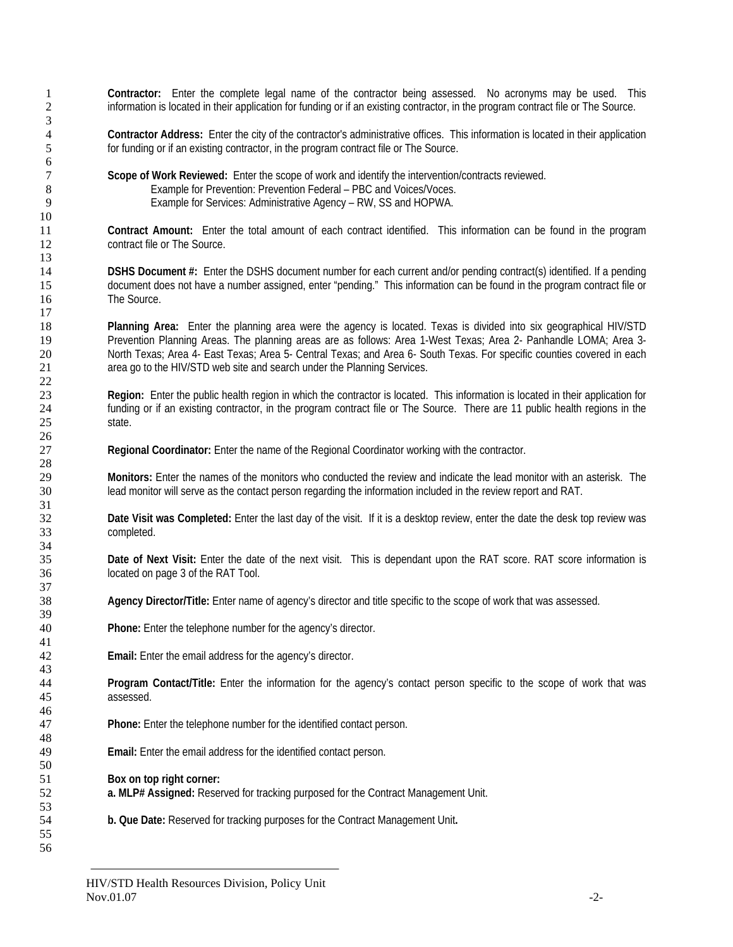**Contractor:** Enter the complete legal name of the contractor being assessed. No acronyms may be used. This information is located in their application for funding or if an existing contractor, in the program contract file or The Source. **Contractor Address:** Enter the city of the contractor's administrative offices. This information is located in their application for funding or if an existing contractor, in the program contract file or The Source. **Scope of Work Reviewed:** Enter the scope of work and identify the intervention/contracts reviewed. Example for Prevention: Prevention Federal – PBC and Voices/Voces. Example for Services: Administrative Agency – RW, SS and HOPWA. **Contract Amount:** Enter the total amount of each contract identified. This information can be found in the program contract file or The Source. **DSHS Document #:** Enter the DSHS document number for each current and/or pending contract(s) identified. If a pending document does not have a number assigned, enter "pending." This information can be found in the program contract file or The Source. **Planning Area:** Enter the planning area were the agency is located. Texas is divided into six geographical HIV/STD Prevention Planning Areas. The planning areas are as follows: Area 1-West Texas; Area 2- Panhandle LOMA; Area 3- North Texas; Area 4- East Texas; Area 5- Central Texas; and Area 6- South Texas. For specific counties covered in each area go to the HIV/STD web site and search under the Planning Services. **Region:** Enter the public health region in which the contractor is located. This information is located in their application for funding or if an existing contractor, in the program contract file or The Source. There are 11 public health regions in the state. **Regional Coordinator:** Enter the name of the Regional Coordinator working with the contractor. **Monitors:** Enter the names of the monitors who conducted the review and indicate the lead monitor with an asterisk. The lead monitor will serve as the contact person regarding the information included in the review report and RAT. **Date Visit was Completed:** Enter the last day of the visit.If it is a desktop review, enter the date the desk top review was completed. **Date of Next Visit:** Enter the date of the next visit. This is dependant upon the RAT score. RAT score information is located on page 3 of the RAT Tool. **Agency Director/Title:** Enter name of agency's director and title specific to the scope of work that was assessed. **Phone:** Enter the telephone number for the agency's director. **Email:** Enter the email address for the agency's director. **Program Contact/Title:** Enter the information for the agency's contact person specific to the scope of work that was assessed. **Phone:** Enter the telephone number for the identified contact person. **Email:** Enter the email address for the identified contact person. **Box on top right corner: a. MLP# Assigned:** Reserved for tracking purposed for the Contract Management Unit. **b. Que Date:** Reserved for tracking purposes for the Contract Management Unit**.**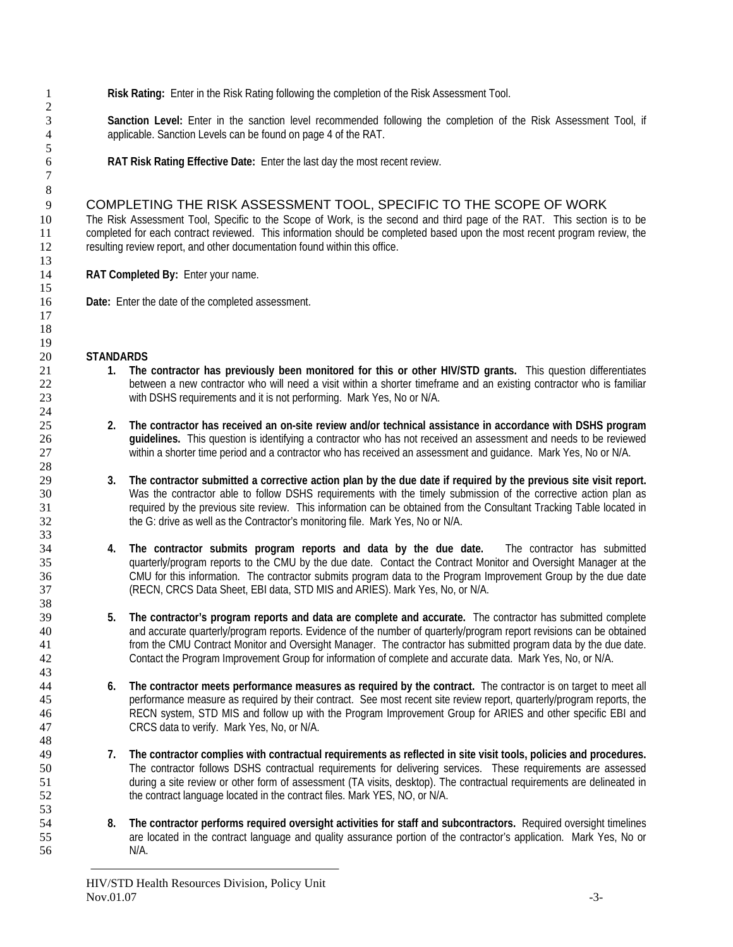**Risk Rating:** Enter in the Risk Rating following the completion of the Risk Assessment Tool.

**Sanction Level:** Enter in the sanction level recommended following the completion of the Risk Assessment Tool, if applicable. Sanction Levels can be found on page 4 of the RAT.

**RAT Risk Rating Effective Date:** Enter the last day the most recent review.

# COMPLETING THE RISK ASSESSMENT TOOL, SPECIFIC TO THE SCOPE OF WORK

The Risk Assessment Tool, Specific to the Scope of Work, is the second and third page of the RAT. This section is to be completed for each contract reviewed. This information should be completed based upon the most recent program review, the resulting review report, and other documentation found within this office.

**RAT Completed By:** Enter your name.

**Date:** Enter the date of the completed assessment.

## **STANDARDS**

- **1. The contractor has previously been monitored for this or other HIV/STD grants.** This question differentiates between a new contractor who will need a visit within a shorter timeframe and an existing contractor who is familiar with DSHS requirements and it is not performing. Mark Yes, No or N/A.
- **2. The contractor has received an on-site review and/or technical assistance in accordance with DSHS program guidelines.** This question is identifying a contractor who has not received an assessment and needs to be reviewed within a shorter time period and a contractor who has received an assessment and guidance. Mark Yes, No or N/A.
- **3. The contractor submitted a corrective action plan by the due date if required by the previous site visit report.**  Was the contractor able to follow DSHS requirements with the timely submission of the corrective action plan as required by the previous site review. This information can be obtained from the Consultant Tracking Table located in the G: drive as well as the Contractor's monitoring file. Mark Yes, No or N/A.
- **4. The contractor submits program reports and data by the due date.** The contractor has submitted quarterly/program reports to the CMU by the due date. Contact the Contract Monitor and Oversight Manager at the CMU for this information. The contractor submits program data to the Program Improvement Group by the due date (RECN, CRCS Data Sheet, EBI data, STD MIS and ARIES). Mark Yes, No, or N/A.
- **5. The contractor's program reports and data are complete and accurate.** The contractor has submitted complete and accurate quarterly/program reports. Evidence of the number of quarterly/program report revisions can be obtained from the CMU Contract Monitor and Oversight Manager. The contractor has submitted program data by the due date. Contact the Program Improvement Group for information of complete and accurate data. Mark Yes, No, or N/A.
- **6. The contractor meets performance measures as required by the contract.** The contractor is on target to meet all performance measure as required by their contract. See most recent site review report, quarterly/program reports, the RECN system, STD MIS and follow up with the Program Improvement Group for ARIES and other specific EBI and CRCS data to verify. Mark Yes, No, or N/A.
- **7. The contractor complies with contractual requirements as reflected in site visit tools, policies and procedures.**  The contractor follows DSHS contractual requirements for delivering services. These requirements are assessed during a site review or other form of assessment (TA visits, desktop). The contractual requirements are delineated in the contract language located in the contract files. Mark YES, NO, or N/A.
- **8. The contractor performs required oversight activities for staff and subcontractors.** Required oversight timelines are located in the contract language and quality assurance portion of the contractor's application. Mark Yes, No or N/A.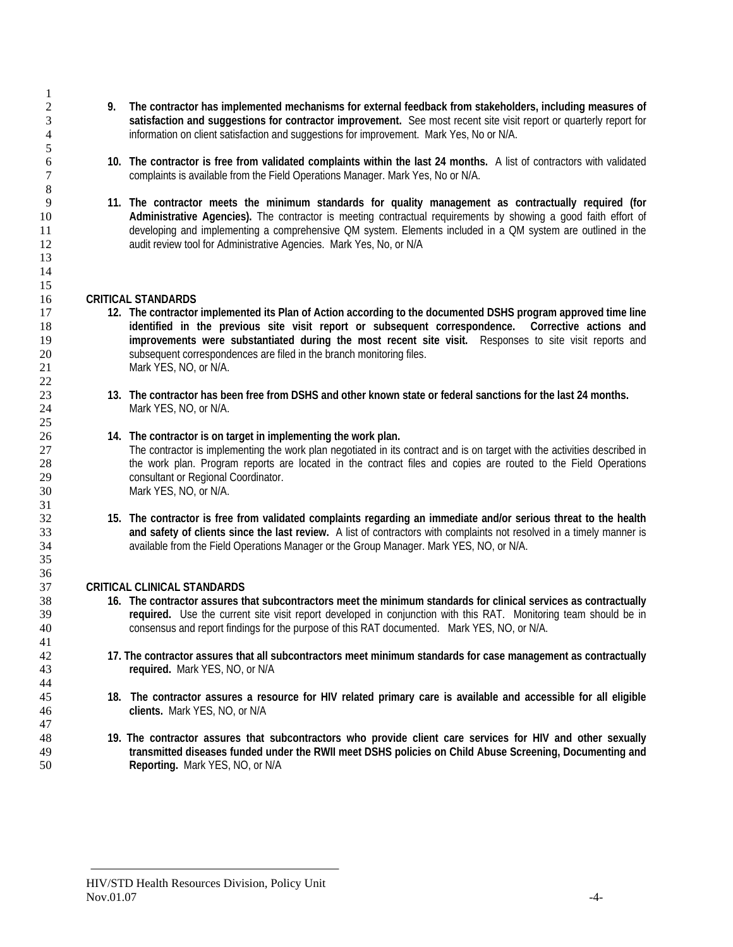- **9. The contractor has implemented mechanisms for external feedback from stakeholders, including measures of satisfaction and suggestions for contractor improvement.** See most recent site visit report or quarterly report for information on client satisfaction and suggestions for improvement. Mark Yes, No or N/A.
- **10. The contractor is free from validated complaints within the last 24 months.** A list of contractors with validated complaints is available from the Field Operations Manager. Mark Yes, No or N/A.
- **11. The contractor meets the minimum standards for quality management as contractually required (for Administrative Agencies).** The contractor is meeting contractual requirements by showing a good faith effort of developing and implementing a comprehensive QM system. Elements included in a QM system are outlined in the audit review tool for Administrative Agencies. Mark Yes, No, or N/A

#### **CRITICAL STANDARDS**

- **12. The contractor implemented its Plan of Action according to the documented DSHS program approved time line identified in the previous site visit report or subsequent correspondence. Corrective actions and improvements were substantiated during the most recent site visit.** Responses to site visit reports and subsequent correspondences are filed in the branch monitoring files. 21 Mark YES, NO, or N/A.
- **13. The contractor has been free from DSHS and other known state or federal sanctions for the last 24 months.**  24 Mark YES, NO, or N/A.

#### **14. The contractor is on target in implementing the work plan.**

The contractor is implementing the work plan negotiated in its contract and is on target with the activities described in the work plan. Program reports are located in the contract files and copies are routed to the Field Operations consultant or Regional Coordinator. Mark YES, NO, or N/A.

**15. The contractor is free from validated complaints regarding an immediate and/or serious threat to the health and safety of clients since the last review.** A list of contractors with complaints not resolved in a timely manner is available from the Field Operations Manager or the Group Manager. Mark YES, NO, or N/A.

## **CRITICAL CLINICAL STANDARDS**

- **16. The contractor assures that subcontractors meet the minimum standards for clinical services as contractually required.** Use the current site visit report developed in conjunction with this RAT. Monitoring team should be in consensus and report findings for the purpose of this RAT documented. Mark YES, NO, or N/A.
- **17. The contractor assures that all subcontractors meet minimum standards for case management as contractually required.** Mark YES, NO, or N/A
- **18. The contractor assures a resource for HIV related primary care is available and accessible for all eligible clients.** Mark YES, NO, or N/A
- **19. The contractor assures that subcontractors who provide client care services for HIV and other sexually transmitted diseases funded under the RWII meet DSHS policies on Child Abuse Screening, Documenting and Reporting.** Mark YES, NO, or N/A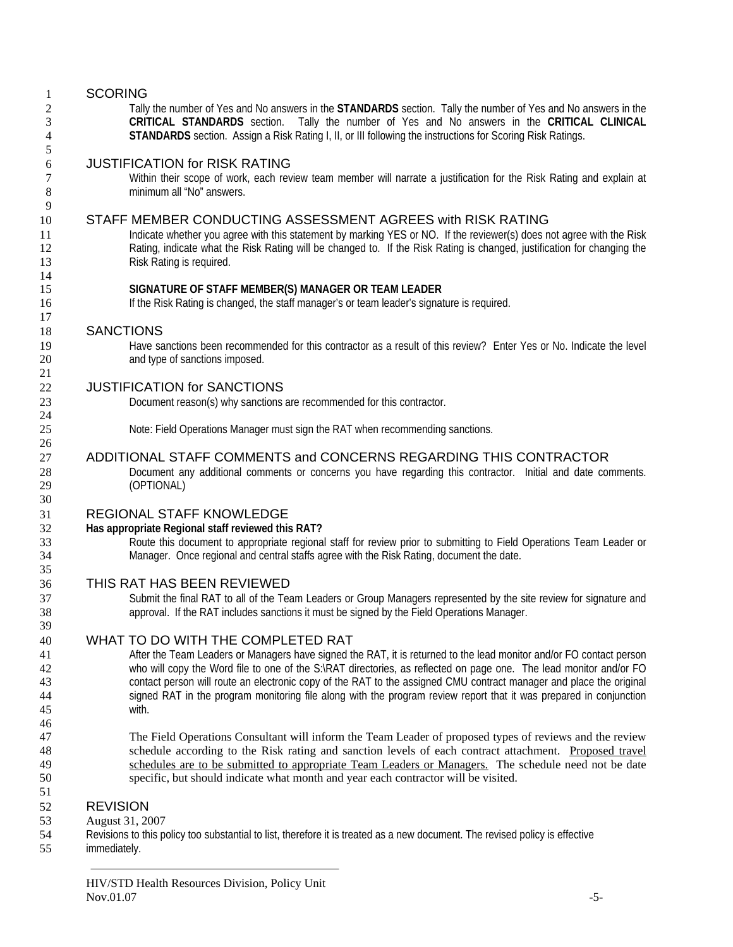# SCORING

 $\frac{14}{15}$ 

Tally the number of Yes and No answers in the **STANDARDS** section. Tally the number of Yes and No answers in the **CRITICAL STANDARDS** section. Tally the number of Yes and No answers in the **CRITICAL CLINICAL STANDARDS** section. Assign a Risk Rating I, II, or III following the instructions for Scoring Risk Ratings.

# JUSTIFICATION for RISK RATING

7 Within their scope of work, each review team member will narrate a justification for the Risk Rating and explain at 8 minimum all "No" answers.

# STAFF MEMBER CONDUCTING ASSESSMENT AGREES with RISK RATING

11 Indicate whether you agree with this statement by marking YES or NO. If the reviewer(s) does not agree with the Risk 12 Rating, indicate what the Risk Rating will be changed to. If the Risk Rating is changed, justification for changing the 13 Risk Rating is required.

#### **SIGNATURE OF STAFF MEMBER(S) MANAGER OR TEAM LEADER**

If the Risk Rating is changed, the staff manager's or team leader's signature is required.

## SANCTIONS

Have sanctions been recommended for this contractor as a result of this review? Enter Yes or No. Indicate the level and type of sanctions imposed.

# JUSTIFICATION for SANCTIONS

Document reason(s) why sanctions are recommended for this contractor.

Note: Field Operations Manager must sign the RAT when recommending sanctions.

## ADDITIONAL STAFF COMMENTS and CONCERNS REGARDING THIS CONTRACTOR

Document any additional comments or concerns you have regarding this contractor. Initial and date comments. (OPTIONAL)

# REGIONAL STAFF KNOWLEDGE

## **Has appropriate Regional staff reviewed this RAT?**

33 Route this document to appropriate regional staff for review prior to submitting to Field Operations Team Leader or Manager. Once regional and central staffs agree with the Risk Rating, document the date.

## THIS RAT HAS BEEN REVIEWED

Submit the final RAT to all of the Team Leaders or Group Managers represented by the site review for signature and approval. If the RAT includes sanctions it must be signed by the Field Operations Manager.

## WHAT TO DO WITH THE COMPLETED RAT

After the Team Leaders or Managers have signed the RAT, it is returned to the lead monitor and/or FO contact person who will copy the Word file to one of the S:\RAT directories, as reflected on page one. The lead monitor and/or FO contact person will route an electronic copy of the RAT to the assigned CMU contract manager and place the original 44 signed RAT in the program monitoring file along with the program review report that it was prepared in conjunction<br>45 with.

47 The Field Operations Consultant will inform the Team Leader of proposed types of reviews and the review 48 schedule according to the Risk rating and sanction levels of each contract attachment. Proposed travel 49 schedules are to be submitted to appropriate Team Leaders or Managers. The schedule need not be date 50 specific, but should indicate what month and year each contractor will be visited.

## REVISION

- 53 August 31, 2007
- 54 Revisions to this policy too substantial to list, therefore it is treated as a new document. The revised policy is effective inmediately.
- immediately.